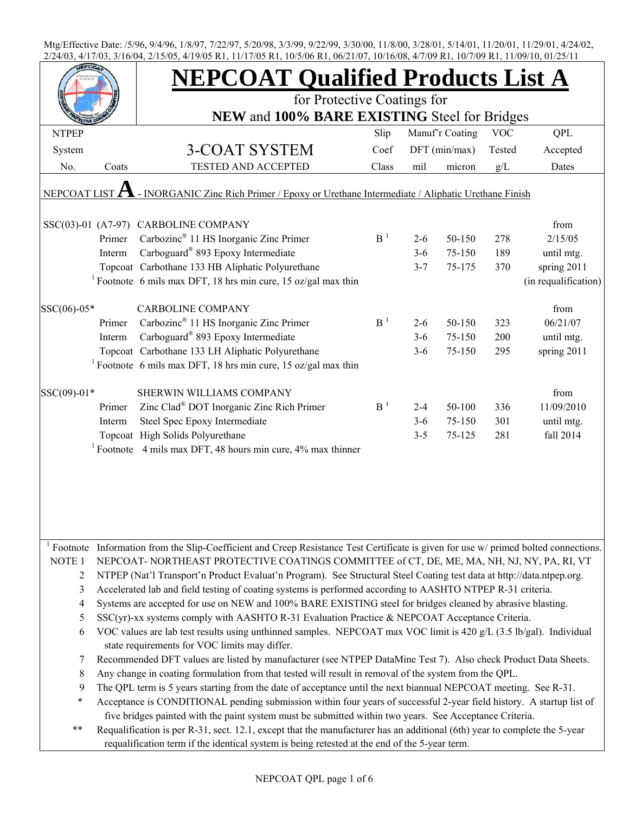|                        |        | <b>NEPCOAT Qualified Products List A</b>                                                                                            |                |         |                 |            |                      |
|------------------------|--------|-------------------------------------------------------------------------------------------------------------------------------------|----------------|---------|-----------------|------------|----------------------|
|                        |        | for Protective Coatings for                                                                                                         |                |         |                 |            |                      |
| <b>NTPEP</b>           |        | NEW and 100% BARE EXISTING Steel for Bridges                                                                                        | Slip           |         | Manuf'r Coating | <b>VOC</b> | QPL                  |
| System                 |        | 3-COAT SYSTEM                                                                                                                       | Coef           |         | DFT (min/max)   | Tested     | Accepted             |
| No.                    | Coats  | TESTED AND ACCEPTED                                                                                                                 | Class          | mil     | micron          | g/L        | Dates                |
| NEPCOAT LIST ${\bf A}$ |        | - INORGANIC Zinc Rich Primer / Epoxy or Urethane Intermediate / Aliphatic Urethane Finish                                           |                |         |                 |            |                      |
|                        |        |                                                                                                                                     |                |         |                 |            |                      |
|                        |        | SSC(03)-01 (A7-97) CARBOLINE COMPANY                                                                                                |                |         |                 |            | from                 |
|                        | Primer | Carbozinc <sup>®</sup> 11 HS Inorganic Zinc Primer                                                                                  | B <sup>1</sup> | $2 - 6$ | 50-150          | 278        | 2/15/05              |
|                        | Interm | Carboguard® 893 Epoxy Intermediate                                                                                                  |                | $3-6$   | 75-150          | 189        | until mtg.           |
|                        |        | Topcoat Carbothane 133 HB Aliphatic Polyurethane                                                                                    |                | $3 - 7$ | 75-175          | 370        | spring 2011          |
|                        |        | <sup>1</sup> Footnote 6 mils max DFT, 18 hrs min cure, 15 oz/gal max thin                                                           |                |         |                 |            | (in requalification) |
| $SSC(06)-05*$          |        | <b>CARBOLINE COMPANY</b>                                                                                                            |                |         |                 |            | from                 |
|                        | Primer | Carbozinc® 11 HS Inorganic Zinc Primer                                                                                              | B <sup>1</sup> | $2 - 6$ | 50-150          | 323        | 06/21/07             |
|                        | Interm | Carboguard <sup>®</sup> 893 Epoxy Intermediate                                                                                      |                | $3 - 6$ | 75-150          | 200        | until mtg.           |
|                        |        | Topcoat Carbothane 133 LH Aliphatic Polyurethane                                                                                    |                | $3 - 6$ | 75-150          | 295        | spring 2011          |
|                        |        | <sup>1</sup> Footnote 6 mils max DFT, 18 hrs min cure, 15 oz/gal max thin                                                           |                |         |                 |            |                      |
| SSC(09)-01*            |        | SHERWIN WILLIAMS COMPANY                                                                                                            |                |         |                 |            | from                 |
|                        | Primer | Zinc Clad® DOT Inorganic Zinc Rich Primer                                                                                           | B <sup>1</sup> | $2 - 4$ | 50-100          | 336        | 11/09/2010           |
|                        | Interm | Steel Spec Epoxy Intermediate                                                                                                       |                | $3-6$   | 75-150          | 301        | until mtg.           |
|                        |        | Topcoat High Solids Polyurethane                                                                                                    |                | $3 - 5$ | 75-125          | 281        | fall 2014            |
|                        |        | <sup>1</sup> Footnote 4 mils max DFT, 48 hours min cure, $4\%$ max thinner                                                          |                |         |                 |            |                      |
|                        |        |                                                                                                                                     |                |         |                 |            |                      |
|                        |        |                                                                                                                                     |                |         |                 |            |                      |
|                        |        | Footnote Information from the Slip-Coefficient and Creep Resistance Test Certificate is given for use w/ primed bolted connections. |                |         |                 |            |                      |
| NOTE 1                 |        | NEPCOAT-NORTHEAST PROTECTIVE COATINGS COMMITTEE of CT, DE, ME, MA, NH, NJ, NY, PA, RI, VT                                           |                |         |                 |            |                      |
| $\overline{c}$         |        | NTPEP (Nat'l Transport'n Product Evaluat'n Program). See Structural Steel Coating test data at http://data.ntpep.org.               |                |         |                 |            |                      |
| 3                      |        | Accelerated lab and field testing of coating systems is performed according to AASHTO NTPEP R-31 criteria.                          |                |         |                 |            |                      |
| 4                      |        | Systems are accepted for use on NEW and 100% BARE EXISTING steel for bridges cleaned by abrasive blasting.                          |                |         |                 |            |                      |
| 5                      |        | $SSC(yr)$ -xx systems comply with AASHTO R-31 Evaluation Practice & NEPCOAT Acceptance Criteria.                                    |                |         |                 |            |                      |
| 6                      |        | VOC values are lab test results using unthinned samples. NEPCOAT max VOC limit is 420 g/L (3.5 lb/gal). Individual                  |                |         |                 |            |                      |
|                        |        | state requirements for VOC limits may differ.                                                                                       |                |         |                 |            |                      |
| 7                      |        | Recommended DFT values are listed by manufacturer (see NTPEP DataMine Test 7). Also check Product Data Sheets.                      |                |         |                 |            |                      |
| $\,8\,$                |        | Any change in coating formulation from that tested will result in removal of the system from the QPL.                               |                |         |                 |            |                      |
| 9                      |        | The QPL term is 5 years starting from the date of acceptance until the next biannual NEPCOAT meeting. See R-31.                     |                |         |                 |            |                      |
| $\ast$                 |        | Acceptance is CONDITIONAL pending submission within four years of successful 2-year field history. A startup list of                |                |         |                 |            |                      |
|                        |        | five bridges painted with the paint system must be submitted within two years. See Acceptance Criteria.                             |                |         |                 |            |                      |
| $***$                  |        | Requalification is per R-31, sect. 12.1, except that the manufacturer has an additional (6th) year to complete the 5-year           |                |         |                 |            |                      |
|                        |        | requalification term if the identical system is being retested at the end of the 5-year term.                                       |                |         |                 |            |                      |
|                        |        |                                                                                                                                     |                |         |                 |            |                      |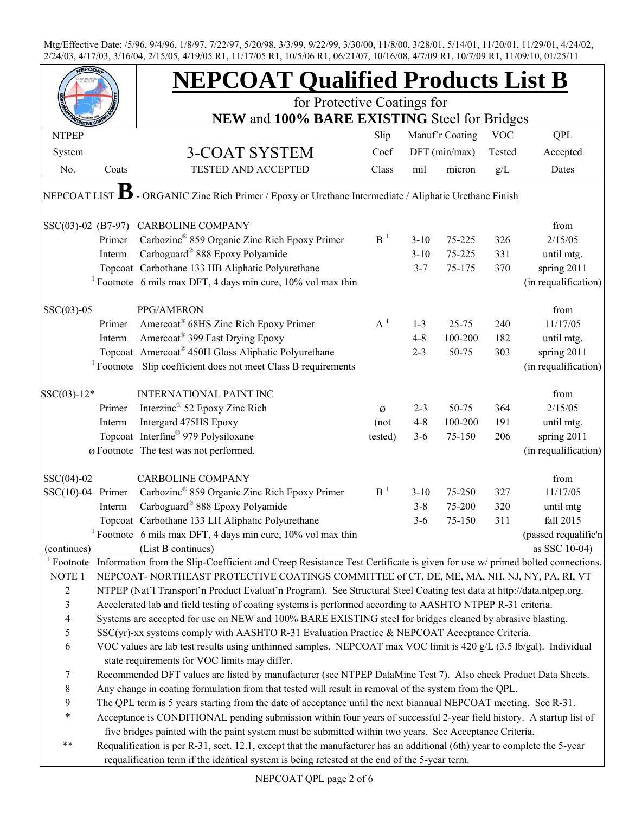|                          |        | <b>NEPCOAT Qualified Products List B</b>                                                                                                            |                |          |                 |            |                      |
|--------------------------|--------|-----------------------------------------------------------------------------------------------------------------------------------------------------|----------------|----------|-----------------|------------|----------------------|
|                          |        | for Protective Coatings for                                                                                                                         |                |          |                 |            |                      |
| <b>NTPEP</b>             |        | NEW and 100% BARE EXISTING Steel for Bridges                                                                                                        | Slip           |          | Manuf'r Coating | <b>VOC</b> | QPL                  |
| System                   |        | 3-COAT SYSTEM                                                                                                                                       | Coef           |          | DFT (min/max)   | Tested     | Accepted             |
| No.                      | Coats  | TESTED AND ACCEPTED                                                                                                                                 | Class          | mil      | micron          | g/L        | Dates                |
|                          |        |                                                                                                                                                     |                |          |                 |            |                      |
| NEPCOAT LIST             |        | - ORGANIC Zinc Rich Primer / Epoxy or Urethane Intermediate / Aliphatic Urethane Finish                                                             |                |          |                 |            |                      |
|                          |        | SSC(03)-02 (B7-97) CARBOLINE COMPANY                                                                                                                |                |          |                 |            | from                 |
|                          | Primer | Carbozinc <sup>®</sup> 859 Organic Zinc Rich Epoxy Primer                                                                                           | B <sup>1</sup> | $3 - 10$ | 75-225          | 326        | 2/15/05              |
|                          | Interm | Carboguard® 888 Epoxy Polyamide                                                                                                                     |                | $3 - 10$ | 75-225          | 331        | until mtg.           |
|                          |        | Topcoat Carbothane 133 HB Aliphatic Polyurethane                                                                                                    |                | $3 - 7$  | 75-175          | 370        | spring 2011          |
|                          |        | <sup>1</sup> Footnote 6 mils max DFT, 4 days min cure, 10% vol max thin                                                                             |                |          |                 |            | (in requalification) |
| $SSC(03)-05$             |        | PPG/AMERON                                                                                                                                          |                |          |                 |            | from                 |
|                          | Primer | Amercoat® 68HS Zinc Rich Epoxy Primer                                                                                                               | $A^1$          | $1 - 3$  | $25 - 75$       | 240        | 11/17/05             |
|                          | Interm | Amercoat <sup>®</sup> 399 Fast Drying Epoxy                                                                                                         |                | $4 - 8$  | 100-200         | 182        | until mtg.           |
|                          |        | Topcoat Amercoat <sup>®</sup> 450H Gloss Aliphatic Polyurethane                                                                                     |                | $2 - 3$  | 50-75           | 303        | spring 2011          |
|                          |        | <sup>1</sup> Footnote Slip coefficient does not meet Class B requirements                                                                           |                |          |                 |            | (in requalification) |
| $SSC(03)-12*$            |        | <b>INTERNATIONAL PAINT INC</b>                                                                                                                      |                |          |                 |            | from                 |
|                          | Primer | Interzinc <sup>®</sup> 52 Epoxy Zinc Rich                                                                                                           | Ø              | $2 - 3$  | 50-75           | 364        | 2/15/05              |
|                          | Interm | Intergard 475HS Epoxy                                                                                                                               | (not           | $4 - 8$  | 100-200         | 191        | until mtg.           |
|                          |        | Topcoat Interfine® 979 Polysiloxane                                                                                                                 | tested)        | $3 - 6$  | 75-150          | 206        | spring 2011          |
|                          |        | Ø Footnote The test was not performed.                                                                                                              |                |          |                 |            | (in requalification) |
| $SSC(04)-02$             |        | <b>CARBOLINE COMPANY</b>                                                                                                                            |                |          |                 |            | from                 |
| $SSC(10)-04$ Primer      |        | Carbozinc <sup>®</sup> 859 Organic Zinc Rich Epoxy Primer                                                                                           | B <sup>1</sup> | $3 - 10$ | 75-250          | 327        | 11/17/05             |
|                          | Interm | Carboguard <sup>®</sup> 888 Epoxy Polyamide                                                                                                         |                | $3 - 8$  | 75-200          | 320        | until mtg            |
|                          |        | Topcoat Carbothane 133 LH Aliphatic Polyurethane                                                                                                    |                | $3-6$    | 75-150          | 311        | fall 2015            |
|                          |        | <sup>1</sup> Footnote 6 mils max DFT, 4 days min cure, $10\%$ vol max thin                                                                          |                |          |                 |            | (passed requalific'n |
| (continues)              |        | (List B continues)                                                                                                                                  |                |          |                 |            | as SSC 10-04)        |
|                          |        | <sup>1</sup> Footnote Information from the Slip-Coefficient and Creep Resistance Test Certificate is given for use $w$ / primed bolted connections. |                |          |                 |            |                      |
| NOTE 1                   |        | NEPCOAT-NORTHEAST PROTECTIVE COATINGS COMMITTEE of CT, DE, ME, MA, NH, NJ, NY, PA, RI, VT                                                           |                |          |                 |            |                      |
| $\overline{c}$           |        | NTPEP (Nat'l Transport'n Product Evaluat'n Program). See Structural Steel Coating test data at http://data.ntpep.org.                               |                |          |                 |            |                      |
| $\mathfrak{Z}$           |        | Accelerated lab and field testing of coating systems is performed according to AASHTO NTPEP R-31 criteria.                                          |                |          |                 |            |                      |
| $\overline{\mathcal{A}}$ |        | Systems are accepted for use on NEW and 100% BARE EXISTING steel for bridges cleaned by abrasive blasting.                                          |                |          |                 |            |                      |
| 5                        |        | SSC(yr)-xx systems comply with AASHTO R-31 Evaluation Practice & NEPCOAT Acceptance Criteria.                                                       |                |          |                 |            |                      |
| 6                        |        | VOC values are lab test results using unthinned samples. NEPCOAT max VOC limit is 420 g/L (3.5 lb/gal). Individual                                  |                |          |                 |            |                      |
|                          |        | state requirements for VOC limits may differ.                                                                                                       |                |          |                 |            |                      |
| 7                        |        | Recommended DFT values are listed by manufacturer (see NTPEP DataMine Test 7). Also check Product Data Sheets.                                      |                |          |                 |            |                      |
| 8                        |        | Any change in coating formulation from that tested will result in removal of the system from the QPL.                                               |                |          |                 |            |                      |
| 9                        |        | The QPL term is 5 years starting from the date of acceptance until the next biannual NEPCOAT meeting. See R-31.                                     |                |          |                 |            |                      |
| *                        |        | Acceptance is CONDITIONAL pending submission within four years of successful 2-year field history. A startup list of                                |                |          |                 |            |                      |
|                          |        | five bridges painted with the paint system must be submitted within two years. See Acceptance Criteria.                                             |                |          |                 |            |                      |
| $***$                    |        | Requalification is per R-31, sect. 12.1, except that the manufacturer has an additional (6th) year to complete the 5-year                           |                |          |                 |            |                      |
|                          |        | requalification term if the identical system is being retested at the end of the 5-year term.                                                       |                |          |                 |            |                      |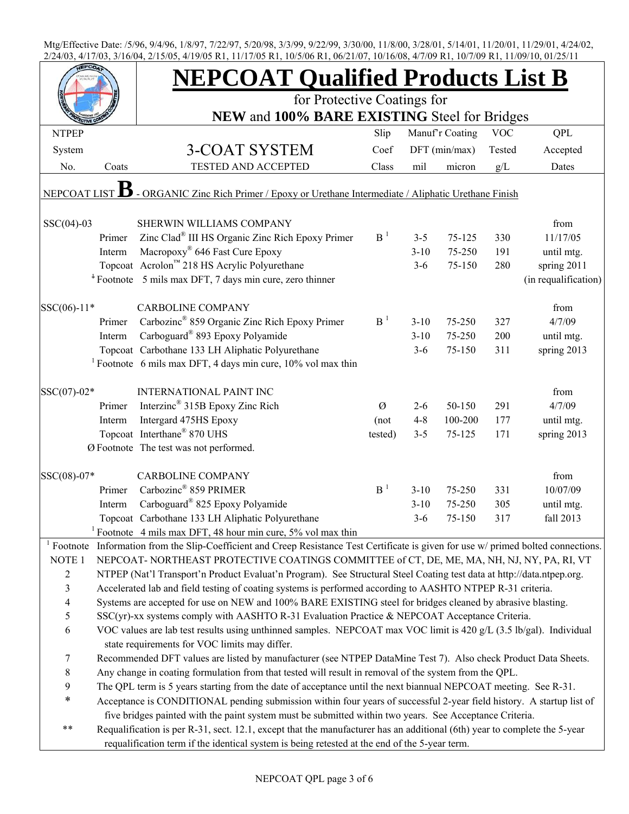|                          |        | <b>NEPCOAT Qualified Products List B</b>                                                                                   |                |          |                 |            |                      |
|--------------------------|--------|----------------------------------------------------------------------------------------------------------------------------|----------------|----------|-----------------|------------|----------------------|
|                          |        | for Protective Coatings for<br>NEW and 100% BARE EXISTING Steel for Bridges                                                |                |          |                 |            |                      |
| <b>NTPEP</b>             |        |                                                                                                                            | Slip           |          | Manuf'r Coating | <b>VOC</b> | QPL                  |
| System                   |        | 3-COAT SYSTEM                                                                                                              | Coef           |          | DFT (min/max)   | Tested     | Accepted             |
| No.                      | Coats  | <b>TESTED AND ACCEPTED</b>                                                                                                 | Class          | mil      | micron          | g/L        | Dates                |
| <b>NEPCOAT</b>           |        | - ORGANIC Zinc Rich Primer / Epoxy or Urethane Intermediate / Aliphatic Urethane Finish                                    |                |          |                 |            |                      |
|                          |        |                                                                                                                            |                |          |                 |            |                      |
| $SSC(04)-03$             |        | SHERWIN WILLIAMS COMPANY                                                                                                   |                |          |                 |            | from                 |
|                          | Primer | Zinc Clad <sup>®</sup> III HS Organic Zinc Rich Epoxy Primer                                                               | B <sup>1</sup> | $3 - 5$  | $75 - 125$      | 330        | 11/17/05             |
|                          | Interm | Macropoxy <sup>®</sup> 646 Fast Cure Epoxy                                                                                 |                | $3 - 10$ | 75-250          | 191        | until mtg.           |
|                          |        | Topcoat Acrolon™ 218 HS Acrylic Polyurethane                                                                               |                | $3 - 6$  | 75-150          | 280        | spring 2011          |
|                          |        | <sup>+</sup> Footnote 5 mils max DFT, 7 days min cure, zero thinner                                                        |                |          |                 |            | (in requalification) |
| SSC(06)-11*              |        | <b>CARBOLINE COMPANY</b>                                                                                                   |                |          |                 |            | from                 |
|                          | Primer | Carbozinc <sup>®</sup> 859 Organic Zinc Rich Epoxy Primer                                                                  | B <sup>1</sup> | $3 - 10$ | 75-250          | 327        | 4/7/09               |
|                          | Interm | Carboguard <sup>®</sup> 893 Epoxy Polyamide                                                                                |                | $3 - 10$ | 75-250          | 200        | until mtg.           |
|                          |        | Topcoat Carbothane 133 LH Aliphatic Polyurethane                                                                           |                | $3 - 6$  | 75-150          | 311        | spring 2013          |
|                          |        | <sup>1</sup> Footnote 6 mils max DFT, 4 days min cure, $10\%$ vol max thin                                                 |                |          |                 |            |                      |
| SSC(07)-02*              |        | <b>INTERNATIONAL PAINT INC</b>                                                                                             |                |          |                 |            | from                 |
|                          | Primer | Interzinc <sup>®</sup> 315B Epoxy Zinc Rich                                                                                | Ø              | $2 - 6$  | 50-150          | 291        | 4/7/09               |
|                          | Interm | Intergard 475HS Epoxy                                                                                                      | (not           | $4 - 8$  | 100-200         | 177        | until mtg.           |
|                          |        | Topcoat Interthane® 870 UHS                                                                                                | tested)        | $3 - 5$  | 75-125          | 171        | spring 2013          |
|                          |        | Ø Footnote The test was not performed.                                                                                     |                |          |                 |            |                      |
| SSC(08)-07*              |        | <b>CARBOLINE COMPANY</b>                                                                                                   |                |          |                 |            | from                 |
|                          | Primer | Carbozinc® 859 PRIMER                                                                                                      | B <sup>1</sup> | $3 - 10$ | 75-250          | 331        | 10/07/09             |
|                          | Interm | Carboguard <sup>®</sup> 825 Epoxy Polyamide                                                                                |                | $3 - 10$ | 75-250          | 305        | until mtg.           |
|                          |        | Topcoat Carbothane 133 LH Aliphatic Polyurethane                                                                           |                | $3-6$    | 75-150          | 317        | fall 2013            |
|                          |        | Footnote 4 mils max DFT, 48 hour min cure, 5% vol max thin                                                                 |                |          |                 |            |                      |
| Footnote                 |        | Information from the Slip-Coefficient and Creep Resistance Test Certificate is given for use w/ primed bolted connections. |                |          |                 |            |                      |
| NOTE 1                   |        | NEPCOAT-NORTHEAST PROTECTIVE COATINGS COMMITTEE of CT, DE, ME, MA, NH, NJ, NY, PA, RI, VT                                  |                |          |                 |            |                      |
| 2                        |        | NTPEP (Nat'l Transport'n Product Evaluat'n Program). See Structural Steel Coating test data at http://data.ntpep.org.      |                |          |                 |            |                      |
| 3                        |        | Accelerated lab and field testing of coating systems is performed according to AASHTO NTPEP R-31 criteria.                 |                |          |                 |            |                      |
| $\overline{\mathcal{L}}$ |        | Systems are accepted for use on NEW and 100% BARE EXISTING steel for bridges cleaned by abrasive blasting.                 |                |          |                 |            |                      |
| 5                        |        | SSC(yr)-xx systems comply with AASHTO R-31 Evaluation Practice & NEPCOAT Acceptance Criteria.                              |                |          |                 |            |                      |
| $\boldsymbol{6}$         |        | VOC values are lab test results using unthinned samples. NEPCOAT max VOC limit is 420 g/L (3.5 lb/gal). Individual         |                |          |                 |            |                      |
|                          |        | state requirements for VOC limits may differ.                                                                              |                |          |                 |            |                      |
| $\tau$                   |        | Recommended DFT values are listed by manufacturer (see NTPEP DataMine Test 7). Also check Product Data Sheets.             |                |          |                 |            |                      |
| $\,8\,$                  |        | Any change in coating formulation from that tested will result in removal of the system from the QPL.                      |                |          |                 |            |                      |
| 9                        |        | The QPL term is 5 years starting from the date of acceptance until the next biannual NEPCOAT meeting. See R-31.            |                |          |                 |            |                      |
| *                        |        | Acceptance is CONDITIONAL pending submission within four years of successful 2-year field history. A startup list of       |                |          |                 |            |                      |
|                          |        | five bridges painted with the paint system must be submitted within two years. See Acceptance Criteria.                    |                |          |                 |            |                      |
| $***$                    |        | Requalification is per R-31, sect. 12.1, except that the manufacturer has an additional (6th) year to complete the 5-year  |                |          |                 |            |                      |
|                          |        | requalification term if the identical system is being retested at the end of the 5-year term.                              |                |          |                 |            |                      |
|                          |        |                                                                                                                            |                |          |                 |            |                      |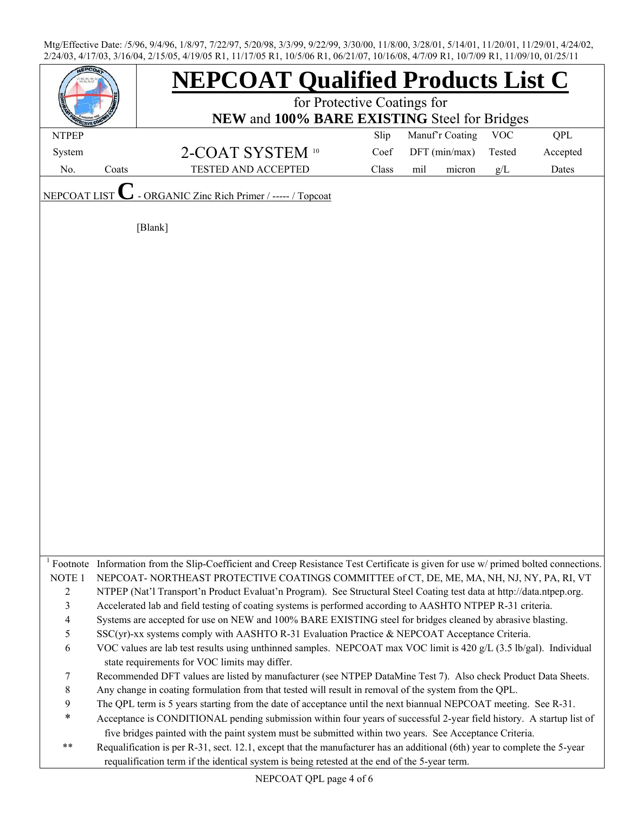|                        |       | <b>NEPCOAT Qualified Products List C</b>                                                                                                                            |       |                 |            |          |  |
|------------------------|-------|---------------------------------------------------------------------------------------------------------------------------------------------------------------------|-------|-----------------|------------|----------|--|
|                        |       | for Protective Coatings for                                                                                                                                         |       |                 |            |          |  |
|                        |       | NEW and 100% BARE EXISTING Steel for Bridges                                                                                                                        |       |                 |            |          |  |
| <b>NTPEP</b>           |       |                                                                                                                                                                     | Slip  | Manuf'r Coating | <b>VOC</b> | QPL      |  |
| System                 |       | 2-COAT SYSTEM 10                                                                                                                                                    | Coef  | DFT (min/max)   | Tested     | Accepted |  |
| No.                    | Coats | TESTED AND ACCEPTED                                                                                                                                                 | Class | mil<br>micron   | g/L        | Dates    |  |
| NEPCOAT LIST           |       | ORGANIC Zinc Rich Primer / ----- / Topcoat                                                                                                                          |       |                 |            |          |  |
|                        |       | [Blank]                                                                                                                                                             |       |                 |            |          |  |
|                        |       |                                                                                                                                                                     |       |                 |            |          |  |
|                        |       |                                                                                                                                                                     |       |                 |            |          |  |
|                        |       |                                                                                                                                                                     |       |                 |            |          |  |
|                        |       |                                                                                                                                                                     |       |                 |            |          |  |
|                        |       |                                                                                                                                                                     |       |                 |            |          |  |
|                        |       |                                                                                                                                                                     |       |                 |            |          |  |
|                        |       |                                                                                                                                                                     |       |                 |            |          |  |
|                        |       |                                                                                                                                                                     |       |                 |            |          |  |
|                        |       |                                                                                                                                                                     |       |                 |            |          |  |
|                        |       |                                                                                                                                                                     |       |                 |            |          |  |
|                        |       |                                                                                                                                                                     |       |                 |            |          |  |
|                        |       |                                                                                                                                                                     |       |                 |            |          |  |
|                        |       |                                                                                                                                                                     |       |                 |            |          |  |
|                        |       |                                                                                                                                                                     |       |                 |            |          |  |
|                        |       |                                                                                                                                                                     |       |                 |            |          |  |
|                        |       |                                                                                                                                                                     |       |                 |            |          |  |
|                        |       |                                                                                                                                                                     |       |                 |            |          |  |
|                        |       |                                                                                                                                                                     |       |                 |            |          |  |
|                        |       |                                                                                                                                                                     |       |                 |            |          |  |
|                        |       |                                                                                                                                                                     |       |                 |            |          |  |
| $\frac{1}{2}$ Footnote |       | Information from the Slip-Coefficient and Creep Resistance Test Certificate is given for use w/ primed bolted connections.                                          |       |                 |            |          |  |
| NOTE <sub>1</sub>      |       | NEPCOAT-NORTHEAST PROTECTIVE COATINGS COMMITTEE of CT, DE, ME, MA, NH, NJ, NY, PA, RI, VT                                                                           |       |                 |            |          |  |
| $\overline{c}$         |       | NTPEP (Nat'l Transport'n Product Evaluat'n Program). See Structural Steel Coating test data at http://data.ntpep.org.                                               |       |                 |            |          |  |
| 3                      |       | Accelerated lab and field testing of coating systems is performed according to AASHTO NTPEP R-31 criteria.                                                          |       |                 |            |          |  |
| 4                      |       | Systems are accepted for use on NEW and 100% BARE EXISTING steel for bridges cleaned by abrasive blasting.                                                          |       |                 |            |          |  |
| 5                      |       | SSC(yr)-xx systems comply with AASHTO R-31 Evaluation Practice & NEPCOAT Acceptance Criteria.                                                                       |       |                 |            |          |  |
| 6                      |       | VOC values are lab test results using unthinned samples. NEPCOAT max VOC limit is 420 g/L (3.5 lb/gal). Individual<br>state requirements for VOC limits may differ. |       |                 |            |          |  |
| 7                      |       | Recommended DFT values are listed by manufacturer (see NTPEP DataMine Test 7). Also check Product Data Sheets.                                                      |       |                 |            |          |  |
| 8                      |       | Any change in coating formulation from that tested will result in removal of the system from the QPL.                                                               |       |                 |            |          |  |
| 9                      |       | The QPL term is 5 years starting from the date of acceptance until the next biannual NEPCOAT meeting. See R-31.                                                     |       |                 |            |          |  |
| $\ast$                 |       | Acceptance is CONDITIONAL pending submission within four years of successful 2-year field history. A startup list of                                                |       |                 |            |          |  |
|                        |       | five bridges painted with the paint system must be submitted within two years. See Acceptance Criteria.                                                             |       |                 |            |          |  |
| $\ast\ast$             |       | Requalification is per R-31, sect. 12.1, except that the manufacturer has an additional (6th) year to complete the 5-year                                           |       |                 |            |          |  |
|                        |       | requalification term if the identical system is being retested at the end of the 5-year term.                                                                       |       |                 |            |          |  |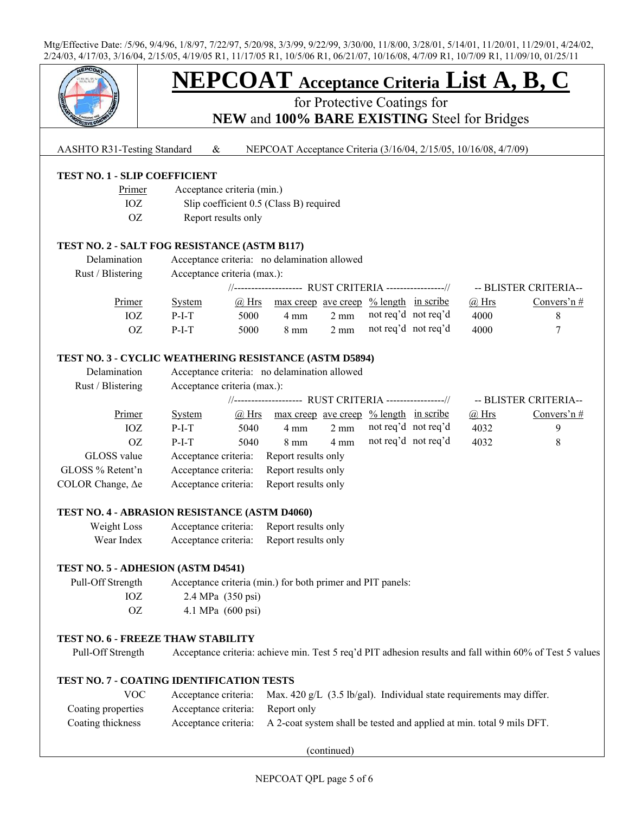

# **NEPCOAT Acceptance Criteria List A, B, C**

for Protective Coatings for

**NEW** and **100% BARE EXISTING** Steel for Bridges

### AASHTO R31-Testing Standard & NEPCOAT Acceptance Criteria (3/16/04, 2/15/05, 10/16/08, 4/7/09)

# **TEST NO. 1 - SLIP COEFFICIENT**

- Primer Acceptance criteria (min.)
- IOZ Slip coefficient 0.5 (Class B) required
- OZ Report results only

#### **TEST NO. 2 - SALT FOG RESISTANCE (ASTM B117)**

| Delamination<br>Rust / Blistering | Acceptance criteria: no delamination allowed<br>Acceptance criteria (max.): |       |                                                        |                |                     |  |              |                       |
|-----------------------------------|-----------------------------------------------------------------------------|-------|--------------------------------------------------------|----------------|---------------------|--|--------------|-----------------------|
|                                   |                                                                             |       | //------------------- RUST CRITERIA ----------------// |                |                     |  |              | -- BLISTER CRITERIA-- |
| Primer                            | <b>System</b>                                                               | @ Hrs | $\frac{max\,creep\,ave\,creep\,% length\,in\,scr}$     |                |                     |  | $\omega$ Hrs | Convers'n $#$         |
| IOZ                               | $P-I-T$                                                                     | 5000  | $4 \text{ mm}$                                         | $2 \text{ mm}$ | not reg'd not reg'd |  | 4000         |                       |
| OZ                                | $P-I-T$                                                                     | 5000  | $8 \text{ mm}$                                         | $2 \text{ mm}$ | not req'd not req'd |  | 4000         |                       |

#### **TEST NO. 3 - CYCLIC WEATHERING RESISTANCE (ASTM D5894)**

| Delamination             | Acceptance criteria: no delamination allowed            |       |                                                      |                |                     |  |                       |               |
|--------------------------|---------------------------------------------------------|-------|------------------------------------------------------|----------------|---------------------|--|-----------------------|---------------|
| Rust / Blistering        | Acceptance criteria (max.):                             |       |                                                      |                |                     |  |                       |               |
|                          | //------------------- RUST CRITERIA -----------------// |       |                                                      |                |                     |  | -- BLISTER CRITERIA-- |               |
| Primer                   | <b>System</b>                                           | @ Hrs | $\frac{1}{2}$ max creep ave creep % length in scribe |                |                     |  | $\omega$ Hrs          | Convers'n $#$ |
| IOZ                      | $P-I-T$                                                 | 5040  | 4 mm                                                 | $2 \text{ mm}$ | not req'd not req'd |  | 4032                  | 9             |
| OZ                       | $P-I-T$                                                 | 5040  | $8 \text{ mm}$                                       | $4 \text{ mm}$ | not reg'd not reg'd |  | 4032                  | 8             |
| GLOSS value              | Acceptance criteria:                                    |       | Report results only                                  |                |                     |  |                       |               |
| GLOSS % Retent'n         | Acceptance criteria:                                    |       | Report results only                                  |                |                     |  |                       |               |
| COLOR Change, $\Delta e$ | Acceptance criteria:                                    |       | Report results only                                  |                |                     |  |                       |               |

#### **TEST NO. 4 - ABRASION RESISTANCE (ASTM D4060)**

| Weight Loss | Acceptance criteria: | Report results only |
|-------------|----------------------|---------------------|
| Wear Index  | Acceptance criteria: | Report results only |

### **TEST NO. 5 - ADHESION (ASTM D4541)**

 Pull-Off Strength Acceptance criteria (min.) for both primer and PIT panels: IOZ 2.4 MPa (350 psi) OZ 4.1 MPa (600 psi)

## **TEST NO. 6 - FREEZE THAW STABILITY**

Pull-Off Strength Acceptance criteria: achieve min. Test 5 req'd PIT adhesion results and fall within 60% of Test 5 values

#### **TEST NO. 7 - COATING IDENTIFICATION TESTS**

| VOC                |                                  | Acceptance criteria: Max. 420 g/L $(3.5 \text{ lb/gal})$ . Individual state requirements may differ. |
|--------------------|----------------------------------|------------------------------------------------------------------------------------------------------|
| Coating properties | Acceptance criteria: Report only |                                                                                                      |
| Coating thickness  |                                  | Acceptance criteria: A 2-coat system shall be tested and applied at min. total 9 mils DFT.           |

(continued)